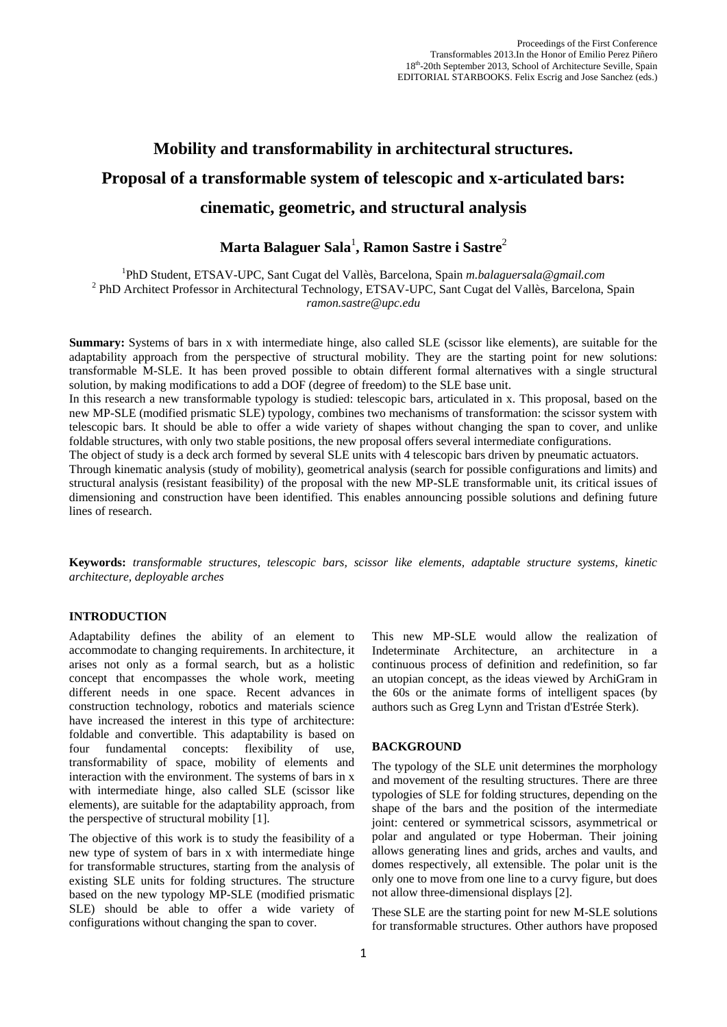# **Mobility and transformability in architectural structures. Proposal of a transformable system of telescopic and x-articulated bars: cinematic, geometric, and structural analysis**

# **Marta Balaguer Sala**<sup>1</sup> **, Ramon Sastre i Sastre**<sup>2</sup>

<sup>1</sup>PhD Student, ETSAV-UPC, Sant Cugat del Vallès, Barcelona, Spain m.balaguersala@gmail.com <sup>2</sup> PhD Architect Professor in Architectural Technology, ETSAV-UPC, Sant Cugat del Vallès, Barcelona, Spain *ramon.sastre@upc.edu*

**Summary:** Systems of bars in x with intermediate hinge, also called SLE (scissor like elements), are suitable for the adaptability approach from the perspective of structural mobility. They are the starting point for new solutions: transformable M-SLE. It has been proved possible to obtain different formal alternatives with a single structural solution, by making modifications to add a DOF (degree of freedom) to the SLE base unit.

In this research a new transformable typology is studied: telescopic bars, articulated in x. This proposal, based on the new MP-SLE (modified prismatic SLE) typology, combines two mechanisms of transformation: the scissor system with telescopic bars. It should be able to offer a wide variety of shapes without changing the span to cover, and unlike foldable structures, with only two stable positions, the new proposal offers several intermediate configurations.

The object of study is a deck arch formed by several SLE units with 4 telescopic bars driven by pneumatic actuators.

Through kinematic analysis (study of mobility), geometrical analysis (search for possible configurations and limits) and structural analysis (resistant feasibility) of the proposal with the new MP-SLE transformable unit, its critical issues of dimensioning and construction have been identified. This enables announcing possible solutions and defining future lines of research.

**Keywords:** *transformable structures, telescopic bars, scissor like elements, adaptable structure systems, kinetic architecture, deployable arches*

# **INTRODUCTION**

Adaptability defines the ability of an element to accommodate to changing requirements. In architecture, it arises not only as a formal search, but as a holistic concept that encompasses the whole work, meeting different needs in one space. Recent advances in construction technology, robotics and materials science have increased the interest in this type of architecture: foldable and convertible. This adaptability is based on four fundamental concepts: flexibility of use, transformability of space, mobility of elements and interaction with the environment. The systems of bars in x with intermediate hinge, also called SLE (scissor like elements), are suitable for the adaptability approach, from the perspective of structural mobility [1].

The objective of this work is to study the feasibility of a new type of system of bars in x with intermediate hinge for transformable structures, starting from the analysis of existing SLE units for folding structures. The structure based on the new typology MP-SLE (modified prismatic SLE) should be able to offer a wide variety of configurations without changing the span to cover.

This new MP-SLE would allow the realization of Indeterminate Architecture, an architecture in a continuous process of definition and redefinition, so far an utopian concept, as the ideas viewed by ArchiGram in the 60s or the animate forms of intelligent spaces (by authors such as Greg Lynn and Tristan d'Estrée Sterk).

# **BACKGROUND**

The typology of the SLE unit determines the morphology and movement of the resulting structures. There are three typologies of SLE for folding structures, depending on the shape of the bars and the position of the intermediate joint: centered or symmetrical scissors, asymmetrical or polar and angulated or type Hoberman. Their joining allows generating lines and grids, arches and vaults, and domes respectively, all extensible. The polar unit is the only one to move from one line to a curvy figure, but does not allow three-dimensional displays [2].

These SLE are the starting point for new M-SLE solutions for transformable structures. Other authors have proposed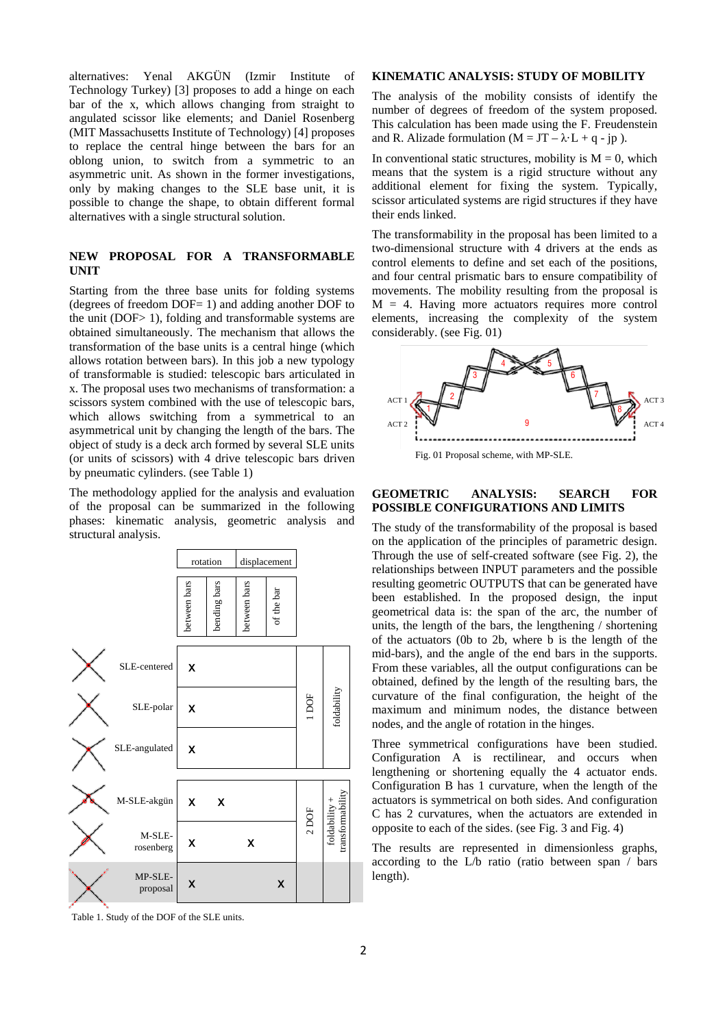alternatives: Yenal AKGÜN (Izmir Institute of Technology Turkey) [3] proposes to add a hinge on each bar of the x, which allows changing from straight to angulated scissor like elements; and Daniel Rosenberg (MIT Massachusetts Institute of Technology) [4] proposes to replace the central hinge between the bars for an oblong union, to switch from a symmetric to an asymmetric unit. As shown in the former investigations, only by making changes to the SLE base unit, it is possible to change the shape, to obtain different formal alternatives with a single structural solution.

# **NEW PROPOSAL FOR A TRANSFORMABLE UNIT**

Starting from the three base units for folding systems (degrees of freedom DOF= 1) and adding another DOF to the unit (DOF> 1), folding and transformable systems are obtained simultaneously. The mechanism that allows the transformation of the base units is a central hinge (which allows rotation between bars). In this job a new typology of transformable is studied: telescopic bars articulated in x. The proposal uses two mechanisms of transformation: a scissors system combined with the use of telescopic bars, which allows switching from a symmetrical to an asymmetrical unit by changing the length of the bars. The object of study is a deck arch formed by several SLE units (or units of scissors) with 4 drive telescopic bars driven by pneumatic cylinders. (see Table 1)

The methodology applied for the analysis and evaluation of the proposal can be summarized in the following phases: kinematic analysis, geometric analysis and structural analysis.



# **KINEMATIC ANALYSIS: STUDY OF MOBILITY**

The analysis of the mobility consists of identify the number of degrees of freedom of the system proposed. This calculation has been made using the F. Freudenstein and R. Alizade formulation ( $M = JT - \lambda L + q - ip$ ).

In conventional static structures, mobility is  $M = 0$ , which means that the system is a rigid structure without any additional element for fixing the system. Typically, scissor articulated systems are rigid structures if they have their ends linked.

The transformability in the proposal has been limited to a two-dimensional structure with 4 drivers at the ends as control elements to define and set each of the positions, and four central prismatic bars to ensure compatibility of movements. The mobility resulting from the proposal is  $M = 4$ . Having more actuators requires more control elements, increasing the complexity of the system considerably. (see Fig. 01)



# **GEOMETRIC ANALYSIS: SEARCH FOR POSSIBLE CONFIGURATIONS AND LIMITS**

The study of the transformability of the proposal is based on the application of the principles of parametric design. Through the use of self-created software (see Fig. 2), the relationships between INPUT parameters and the possible resulting geometric OUTPUTS that can be generated have been established. In the proposed design, the input geometrical data is: the span of the arc, the number of units, the length of the bars, the lengthening / shortening of the actuators (0b to 2b, where b is the length of the mid-bars), and the angle of the end bars in the supports. From these variables, all the output configurations can be obtained, defined by the length of the resulting bars, the curvature of the final configuration, the height of the maximum and minimum nodes, the distance between nodes, and the angle of rotation in the hinges.

Three symmetrical configurations have been studied. Configuration A is rectilinear, and occurs when lengthening or shortening equally the 4 actuator ends. Configuration B has 1 curvature, when the length of the actuators is symmetrical on both sides. And configuration C has 2 curvatures, when the actuators are extended in opposite to each of the sides. (see Fig. 3 and Fig. 4)

The results are represented in dimensionless graphs, according to the L/b ratio (ratio between span / bars length).

Table 1. Study of the DOF of the SLE units.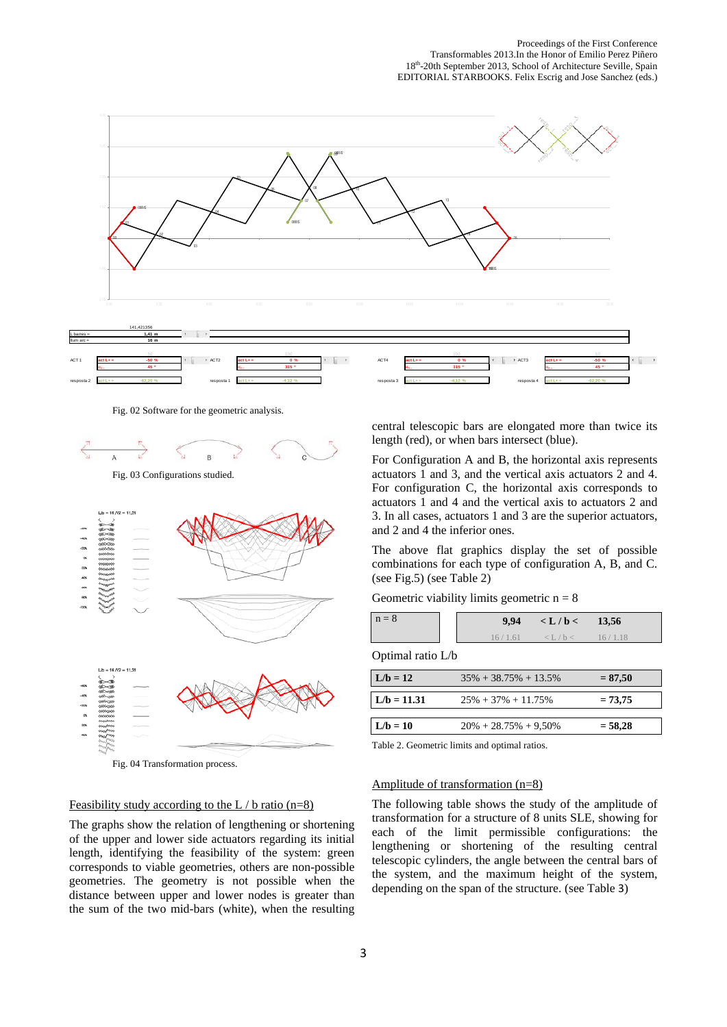

Fig. 02 Software for the geometric analysis.



Fig. 03 Configurations studied.



Fig. 04 Transformation process.

#### Feasibility study according to the L  $\prime$  b ratio (n=8)

The graphs show the relation of lengthening or shortening of the upper and lower side actuators regarding its initial length, identifying the feasibility of the system: green corresponds to viable geometries, others are non-possible geometries. The geometry is not possible when the distance between upper and lower nodes is greater than the sum of the two mid-bars (white), when the resulting central telescopic bars are elongated more than twice its length (red), or when bars intersect (blue).

For Configuration A and B, the horizontal axis represents actuators 1 and 3, and the vertical axis actuators 2 and 4. For configuration C, the horizontal axis corresponds to actuators 1 and 4 and the vertical axis to actuators 2 and 3. In all cases, actuators 1 and 3 are the superior actuators, and 2 and 4 the inferior ones.

The above flat graphics display the set of possible combinations for each type of configuration A, B, and C. (see Fig.5) (see Table 2)

| $n = 8$ | 9,94    | $\langle L/b \langle 13, 56 \rangle$ |  |
|---------|---------|--------------------------------------|--|
|         | 16/1.61 | $\langle L/b \langle 1.18 \rangle$   |  |

Optimal ratio L/b

| $L/b = 12$    | $35\% + 38.75\% + 13.5\%$ | $= 87,50$ |
|---------------|---------------------------|-----------|
|               |                           |           |
| $L/b = 11.31$ | $25\% + 37\% + 11.75\%$   | $= 73.75$ |
|               |                           |           |
| $L/b = 10$    | $20\% + 28.75\% + 9.50\%$ | $= 58.28$ |
|               |                           |           |

Table 2. Geometric limits and optimal ratios.

# Amplitude of transformation (n=8)

The following table shows the study of the amplitude of transformation for a structure of 8 units SLE, showing for each of the limit permissible configurations: the lengthening or shortening of the resulting central telescopic cylinders, the angle between the central bars of the system, and the maximum height of the system, depending on the span of the structure. (see Table 3)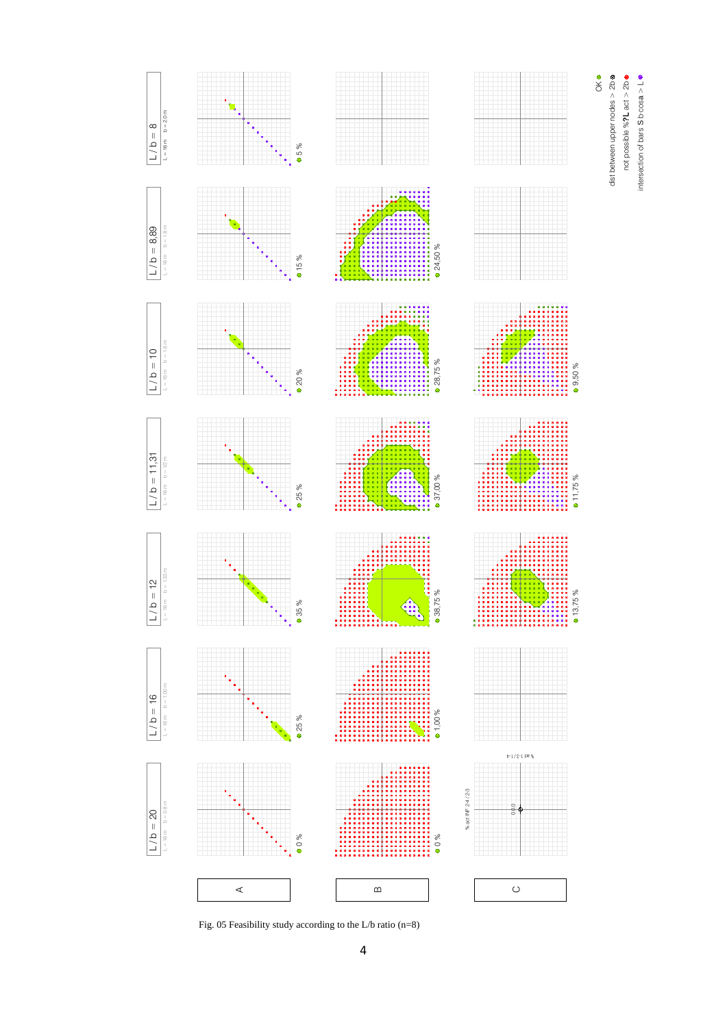

not possible %**?**L act > 2b intersection of bars S b·cosa > L

intersection of bars S b cosa > L.

not possible % ? L act > 2b dist between upper nodes > 2b &

dist between upper nodes > 2b

Fig. 05 Feasibility study according to the L/b ratio (n=8)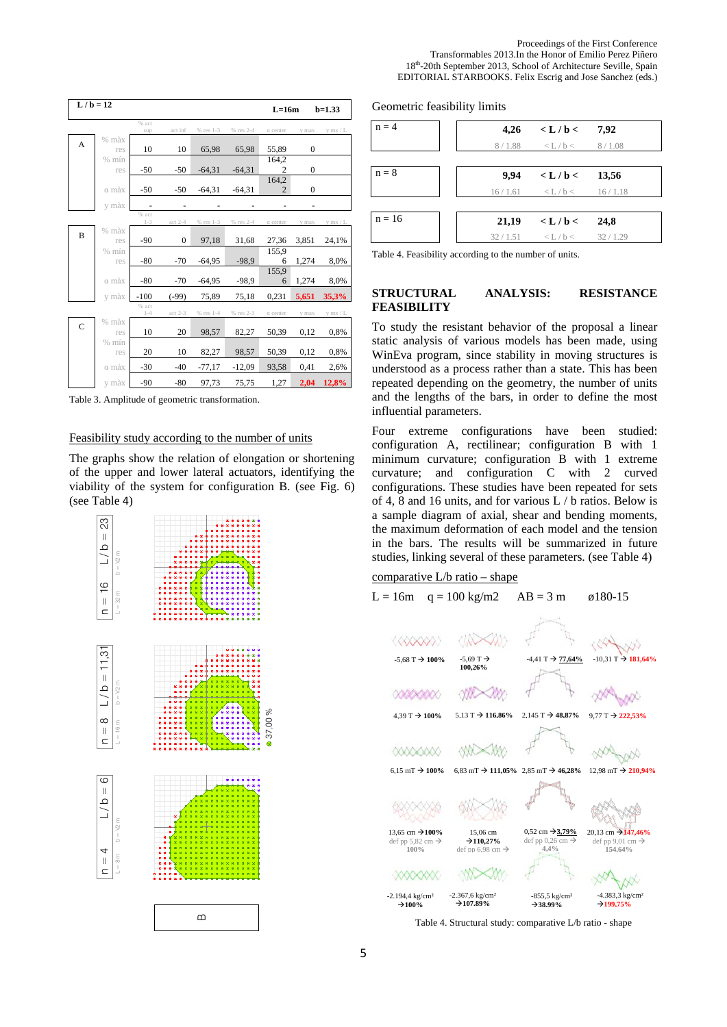| $L/b = 12$     |                                               |                  |                |           |           | $L=16m$                 |              | $b=1.33$ |  |
|----------------|-----------------------------------------------|------------------|----------------|-----------|-----------|-------------------------|--------------|----------|--|
|                |                                               | % act<br>sup     | act inf        | % res 1-3 | % res 2-4 | a center                | y max        | y mx / L |  |
| A              | % màx                                         |                  |                |           |           |                         |              |          |  |
|                | res                                           | 10               | 10             | 65,98     | 65,98     | 55,89                   | $\mathbf{0}$ |          |  |
|                | $%$ mín<br>res                                | $-50$            | $-50$          | $-64,31$  | $-64,31$  | 164,2<br>$\overline{c}$ | $\mathbf{0}$ |          |  |
|                |                                               |                  |                |           |           | 164,2                   |              |          |  |
|                | $\alpha$ màx                                  | $-50$            | $-50$          | $-64,31$  | $-64,31$  | $\overline{2}$          | $\mathbf{0}$ |          |  |
|                | y màx                                         |                  |                |           |           |                         |              |          |  |
|                |                                               | % act<br>$1 - 3$ | $act 2-4$      | % res 1-3 | % res 2-4 | a center                | y max        | y mx / L |  |
| B              | $%$ màx                                       |                  |                |           |           |                         |              |          |  |
|                | res                                           | $-90$            | $\overline{0}$ | 97,18     | 31,68     | 27,36                   | 3,851        | 24,1%    |  |
|                | $%$ mín<br>res                                | $-80$            | $-70$          | $-64,95$  | $-98.9$   | 155.9<br>6              | 1,274        | 8,0%     |  |
|                |                                               |                  |                |           |           | 155,9                   |              |          |  |
|                | $\alpha$ màx                                  | $-80$            | $-70$          | $-64,95$  | $-98.9$   | 6                       | 1,274        | 8,0%     |  |
|                | y màx                                         | $-100$           | $(-99)$        | 75,89     | 75,18     | 0,231                   | 5,651        | 35,3%    |  |
|                |                                               | % act<br>$1 - 4$ | act 2-3        | % res 1-4 | % res 2-3 | a center                | y max        | y mx / L |  |
| $\overline{C}$ | $%$ màx                                       |                  |                |           |           |                         |              |          |  |
|                | res                                           | 10               | 20             | 98,57     | 82,27     | 50,39                   | 0,12         | 0,8%     |  |
|                | $%$ mín<br>res                                | 20               | 10             | 82,27     | 98,57     | 50,39                   | 0,12         | 0,8%     |  |
|                | $\alpha$ màx                                  | $-30$            | $-40$          | $-77,17$  | $-12,09$  | 93,58                   | 0,41         | 2,6%     |  |
|                | y màx                                         | $-90$            | $-80$          | 97,73     | 75,75     | 1,27                    | 2,04         | 12,8%    |  |
|                | Table 3 Amplitude of geometric transformation |                  |                |           |           |                         |              |          |  |

#### Table 3. Amplitude of geometric transformation.

### Feasibility study according to the number of units

The graphs show the relation of elongation or shortening of the upper and lower lateral actuators, identifying the viability of the system for configuration B. (see Fig. 6) (see Table 4)



#### Geometric feasibility limits



Table 4. Feasibility according to the number of units.

#### **STRUCTURAL ANALYSIS: RESISTANCE FEASIBILITY**

To study the resistant behavior of the proposal a linear static analysis of various models has been made, using WinEva program, since stability in moving structures is understood as a process rather than a state. This has been repeated depending on the geometry, the number of units and the lengths of the bars, in order to define the most influential parameters.

Four extreme configurations have been studied: configuration A, rectilinear; configuration B with 1 minimum curvature; configuration B with 1 extreme curvature; and configuration C with 2 curved configurations. These studies have been repeated for sets of 4, 8 and 16 units, and for various L / b ratios. Below is a sample diagram of axial, shear and bending moments, the maximum deformation of each model and the tension in the bars. The results will be summarized in future studies, linking several of these parameters. (see Table 4)

# comparative L/b ratio – shape

L = 16m q = 100 kg/m2 AB = 3 m  $\emptyset$ 180-15



Table 4. Structural study: comparative L/b ratio - shape